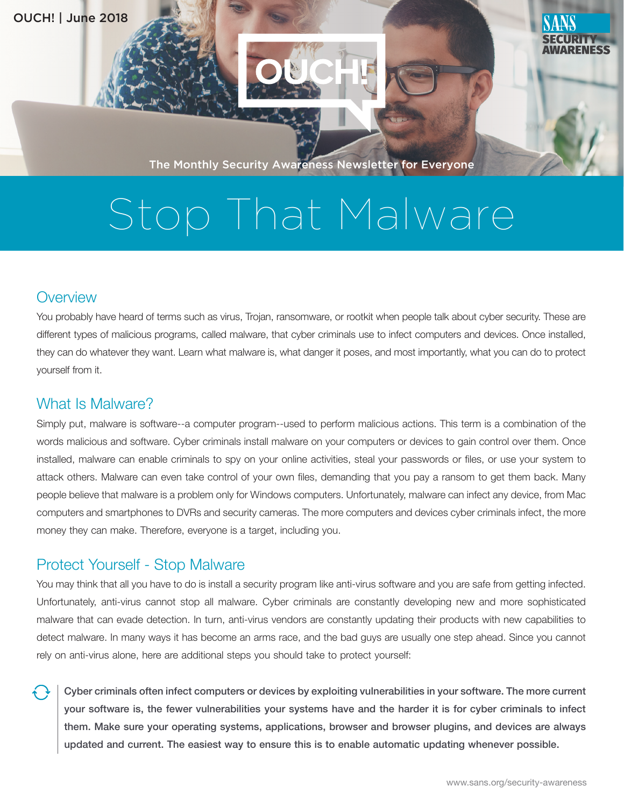

The Monthly Security Awareness Newsletter for Everyone

# Stop That Malware

#### **Overview**

You probably have heard of terms such as virus, Trojan, ransomware, or rootkit when people talk about cyber security. These are different types of malicious programs, called malware, that cyber criminals use to infect computers and devices. Once installed, they can do whatever they want. Learn what malware is, what danger it poses, and most importantly, what you can do to protect yourself from it.

#### What Is Malware?

Simply put, malware is software--a computer program--used to perform malicious actions. This term is a combination of the words malicious and software. Cyber criminals install malware on your computers or devices to gain control over them. Once installed, malware can enable criminals to spy on your online activities, steal your passwords or files, or use your system to attack others. Malware can even take control of your own files, demanding that you pay a ransom to get them back. Many people believe that malware is a problem only for Windows computers. Unfortunately, malware can infect any device, from Mac computers and smartphones to DVRs and security cameras. The more computers and devices cyber criminals infect, the more money they can make. Therefore, everyone is a target, including you.

### Protect Yourself - Stop Malware

You may think that all you have to do is install a security program like anti-virus software and you are safe from getting infected. Unfortunately, anti-virus cannot stop all malware. Cyber criminals are constantly developing new and more sophisticated malware that can evade detection. In turn, anti-virus vendors are constantly updating their products with new capabilities to detect malware. In many ways it has become an arms race, and the bad guys are usually one step ahead. Since you cannot rely on anti-virus alone, here are additional steps you should take to protect yourself:

Cyber criminals often infect computers or devices by exploiting vulnerabilities in your software. The more current your software is, the fewer vulnerabilities your systems have and the harder it is for cyber criminals to infect them. Make sure your operating systems, applications, browser and browser plugins, and devices are always updated and current. The easiest way to ensure this is to enable automatic updating whenever possible.